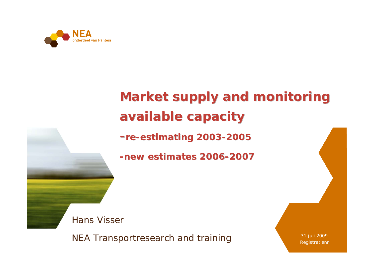

## **Market supply and monitoring available capacity available capacity**

**-re -estimating 2003 estimating 2003 -2005**

**-new estimates 2006 new estimates 2006-2007**

Hans Visser

NEA Transportresearch and training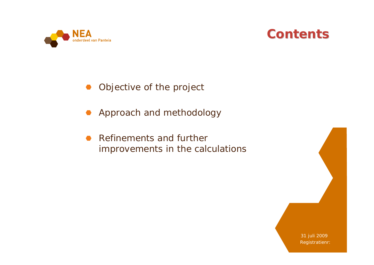



Objective of the project

**Approach and methodology** 

Refinements and further  $\bullet$ improvements in the calculations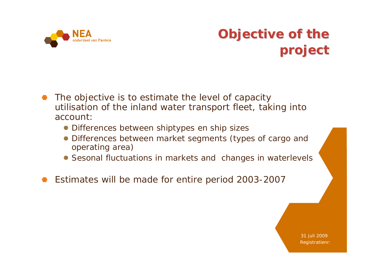

#### **Objective of the project project**

- The objective is to estimate the level of capacity utilisation of the inland water transport fleet, taking into account:
	- Differences between shiptypes en ship sizes
	- Differences between market segments (types of cargo and operating area)
	- Sesonal fluctuations in markets and changes in waterlevels
- Estimates will be made for entire period 2003-2007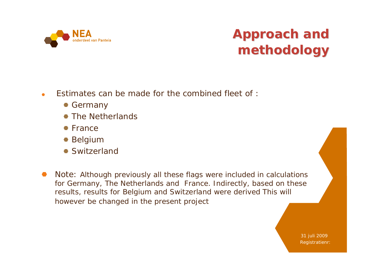

## **Approach and methodology methodology**

- Estimates can be made for the combined fleet of :
	- Germany
	- The Netherlands
	- France
	- Belgium
	- Switzerland
- Note: Although previously all these flags were included in calculations  $\bullet$ for Germany, The Netherlands and France. Indirectly, based on these results, results for Belgium and Switzerland were derived This will however be changed in the present project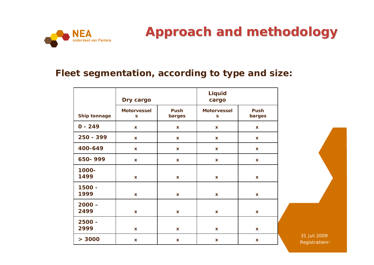

#### **Approach and methodology Approach and methodology**

#### **Fleet segmentation, according to type and size:**

|                  | Dry cargo               |                       | <b>Liquid</b><br>cargo  |                           |  |
|------------------|-------------------------|-----------------------|-------------------------|---------------------------|--|
| Ship tonnage     | <b>Motorvessel</b><br>S | <b>Push</b><br>barges | <b>Motorvessel</b><br>S | <b>Push</b><br>barges     |  |
| $0 - 249$        | $\mathbf x$             | $\mathbf{x}$          | $\mathbf x$             | $\mathbf x$               |  |
| 250 - 399        | $\mathbf x$             | $\mathbf{x}$          | $\mathbf x$             | $\mathbf x$               |  |
| 400-649          | $\mathbf{x}$            | $\mathbf{x}$          | $\mathbf x$             | $\mathbf x$               |  |
| 650-999          | $\mathbf x$             | $\mathbf{x}$          | $\mathbf x$             | $\mathbf x$               |  |
| 1000-<br>1499    | $\mathbf x$             | $\mathbf{x}$          | $\mathbf x$             | $\boldsymbol{\mathsf{X}}$ |  |
| 1500 -<br>1999   | $\mathbf x$             | $\mathbf{x}$          | $\pmb{\mathsf{X}}$      | $\boldsymbol{\mathsf{X}}$ |  |
| $2000 -$<br>2499 | $\mathbf{x}$            | $\mathbf{x}$          | $\pmb{\mathsf{X}}$      | $\boldsymbol{\mathsf{X}}$ |  |
| 2500 -<br>2999   | $\pmb{\mathsf{X}}$      | $\mathbf x$           | X                       | $\pmb{\mathsf{X}}$        |  |
| > 3000           | $\mathbf x$             | $\mathbf{x}$          | $\mathbf x$             | $\boldsymbol{\mathsf{X}}$ |  |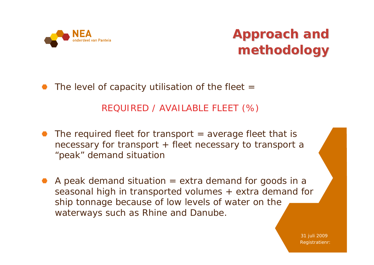

The level of capacity utilisation of the fleet  $=$ 

REQUIRED / AVAILABLE FLEET (%)

- The required fleet for transport  $=$  average fleet that is necessary for transport + fleet necessary to transport a "peak" demand situation
- A peak demand situation  $=$  extra demand for goods in a seasonal high in transported volumes + extra demand for ship tonnage because of low levels of water on the waterways such as Rhine and Danube.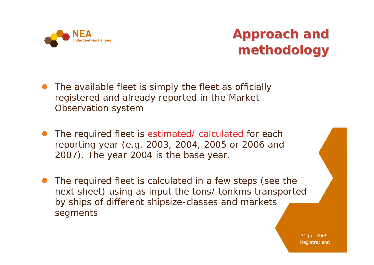

- The available fleet is simply the fleet as officially registered and already reported in the Market Observation system
- The required fleet is estimated/ calculated for each reporting year (e.g. 2003, 2004, 2005 or 2006 and 2007). The year 2004 is the base year.
- The required fleet is calculated in a few steps (see the next sheet) using as input the tons/ tonkms transported by ships of different shipsize-classes and markets segments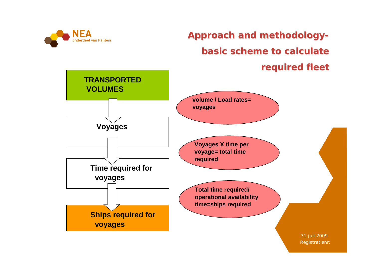

**Approach Approach and methodology methodologybasic scheme to calculate calculate required required fleet**

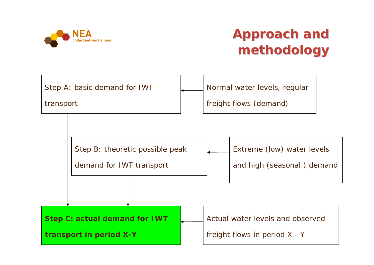

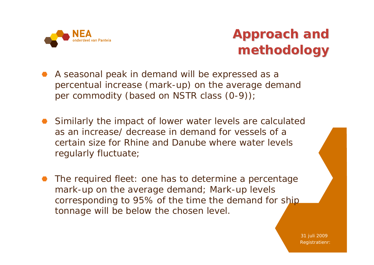

- A seasonal peak in demand will be expressed as a percentual increase (mark-up) on the average demand per commodity (based on NSTR class (0-9));
- Similarly the impact of lower water levels are calculated as an increase/ decrease in demand for vessels of a certain size for Rhine and Danube where water levels regularly fluctuate;
- The required fleet: one has to determine a percentage mark-up on the average demand; Mark-up levels corresponding to 95% of the time the demand for ship tonnage will be below the chosen level.

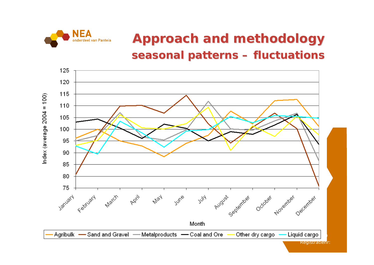

#### **Approach and methodology Approach and methodology seasonal seasonal patterns patterns – fluctuations fluctuations**

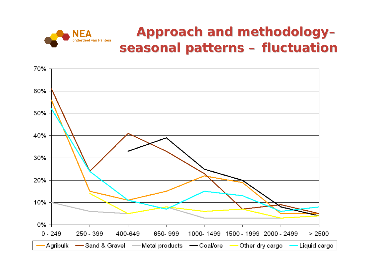

#### **Approach Approach and methodology methodology– seasonal seasonal patterns patterns – fluctuation fluctuation**

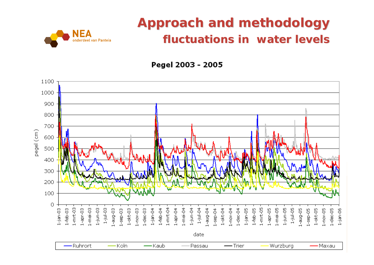#### **Approach and methodology fluctuations fluctuations in water in water levels**



Pegel 2003 - 2005

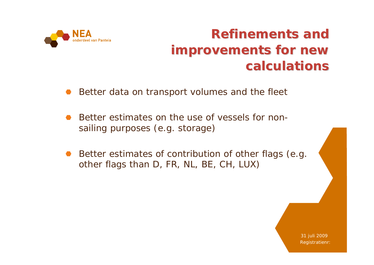

#### **Refinements Refinements and improvements improvements for new calculations calculations**

- Better data on transport volumes and the fleet
- Better estimates on the use of vessels for nonsailing purposes (e.g. storage)
- Better estimates of contribution of other flags (e.g. other flags than D, FR, NL, BE, CH, LUX)